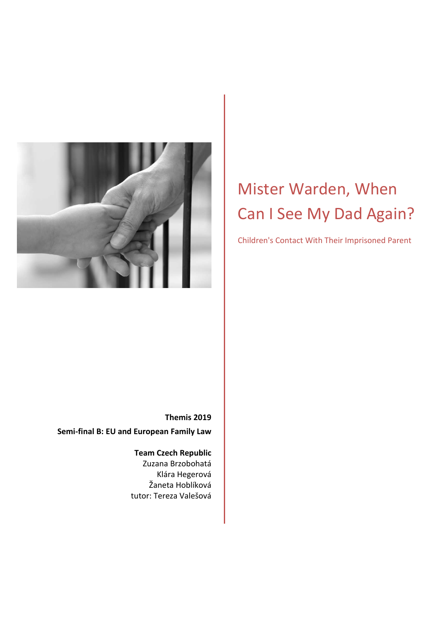

# Mister Warden, When Can I See My Dad Again?

Children's Contact With Their Imprisoned Parent

**Themis 2019 Semi-final B: EU and European Family Law** 

> **Team Czech Republic**  Zuzana Brzobohatá Klára Hegerová Žaneta Hoblíková tutor: Tereza Valešová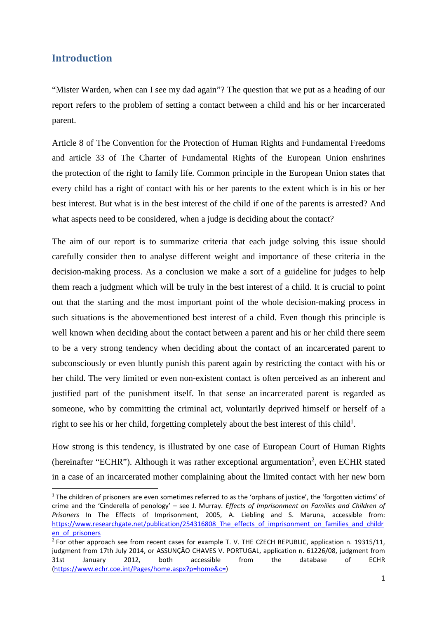### **Introduction**

l

"Mister Warden, when can I see my dad again"? The question that we put as a heading of our report refers to the problem of setting a contact between a child and his or her incarcerated parent.

Article 8 of The Convention for the Protection of Human Rights and Fundamental Freedoms and article 33 of The Charter of Fundamental Rights of the European Union enshrines the protection of the right to family life. Common principle in the European Union states that every child has a right of contact with his or her parents to the extent which is in his or her best interest. But what is in the best interest of the child if one of the parents is arrested? And what aspects need to be considered, when a judge is deciding about the contact?

The aim of our report is to summarize criteria that each judge solving this issue should carefully consider then to analyse different weight and importance of these criteria in the decision-making process. As a conclusion we make a sort of a guideline for judges to help them reach a judgment which will be truly in the best interest of a child. It is crucial to point out that the starting and the most important point of the whole decision-making process in such situations is the abovementioned best interest of a child. Even though this principle is well known when deciding about the contact between a parent and his or her child there seem to be a very strong tendency when deciding about the contact of an incarcerated parent to subconsciously or even bluntly punish this parent again by restricting the contact with his or her child. The very limited or even non-existent contact is often perceived as an inherent and justified part of the punishment itself. In that sense an incarcerated parent is regarded as someone, who by committing the criminal act, voluntarily deprived himself or herself of a right to see his or her child, forgetting completely about the best interest of this child<sup>1</sup>.

How strong is this tendency, is illustrated by one case of European Court of Human Rights (hereinafter "ECHR"). Although it was rather exceptional argumentation<sup>2</sup>, even ECHR stated in a case of an incarcerated mother complaining about the limited contact with her new born

<sup>&</sup>lt;sup>1</sup> The children of prisoners are even sometimes referred to as the 'orphans of justice', the 'forgotten victims' of crime and the 'Cinderella of penology' – see J. Murray. *Effects of Imprisonment on Families and Children of Prisoners* In The Effects of Imprisonment, 2005, A. Liebling and S. Maruna, accessible from: https://www.researchgate.net/publication/254316808\_The\_effects\_of\_imprisonment\_on\_families\_and\_childr en\_of\_prisoners

 $2$  For other approach see from recent cases for example T. V. THE CZECH REPUBLIC, application n. 19315/11, judgment from 17th July 2014, or ASSUNÇÃO CHAVES V. PORTUGAL, application n. 61226/08, judgment from 31st January 2012, both accessible from the database of ECHR (https://www.echr.coe.int/Pages/home.aspx?p=home&c=)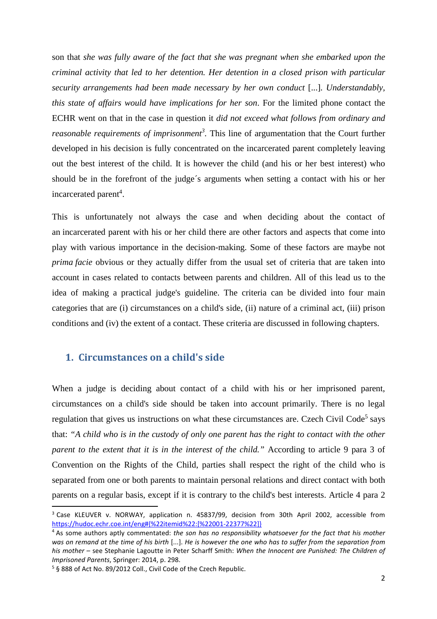son that *she was fully aware of the fact that she was pregnant when she embarked upon the criminal activity that led to her detention. Her detention in a closed prison with particular security arrangements had been made necessary by her own conduct* [...]*. Understandably, this state of affairs would have implications for her son*. For the limited phone contact the ECHR went on that in the case in question it *did not exceed what follows from ordinary and reasonable requirements of imprisonment<sup>3</sup> .* This line of argumentation that the Court further developed in his decision is fully concentrated on the incarcerated parent completely leaving out the best interest of the child. It is however the child (and his or her best interest) who should be in the forefront of the judge´s arguments when setting a contact with his or her incarcerated parent<sup>4</sup>.

This is unfortunately not always the case and when deciding about the contact of an incarcerated parent with his or her child there are other factors and aspects that come into play with various importance in the decision-making. Some of these factors are maybe not *prima facie* obvious or they actually differ from the usual set of criteria that are taken into account in cases related to contacts between parents and children. All of this lead us to the idea of making a practical judge's guideline. The criteria can be divided into four main categories that are (i) circumstances on a child's side, (ii) nature of a criminal act, (iii) prison conditions and (iv) the extent of a contact. These criteria are discussed in following chapters.

#### **1. Circumstances on a child's side**

When a judge is deciding about contact of a child with his or her imprisoned parent, circumstances on a child's side should be taken into account primarily. There is no legal regulation that gives us instructions on what these circumstances are. Czech Civil Code<sup>5</sup> says that: *"A child who is in the custody of only one parent has the right to contact with the other parent to the extent that it is in the interest of the child.*" According to article 9 para 3 of Convention on the Rights of the Child, parties shall respect the right of the child who is separated from one or both parents to maintain personal relations and direct contact with both parents on a regular basis, except if it is contrary to the child's best interests. Article 4 para 2

l

<sup>&</sup>lt;sup>3</sup> Case KLEUVER v. NORWAY, application n. 45837/99, decision from 30th April 2002, accessible from https://hudoc.echr.coe.int/eng#{%22itemid%22:[%22001-22377%22]}

<sup>4</sup> As some authors aptly commentated: *the son has no responsibility whatsoever for the fact that his mother was on remand at the time of his birth* [...]. *He is however the one who has to suffer from the separation from his mother –* see Stephanie Lagoutte in Peter Scharff Smith: *When the Innocent are Punished: The Children of Imprisoned Parents*, Springer: 2014, p. 298.

<sup>&</sup>lt;sup>5</sup> § 888 of Act No. 89/2012 Coll., Civil Code of the Czech Republic.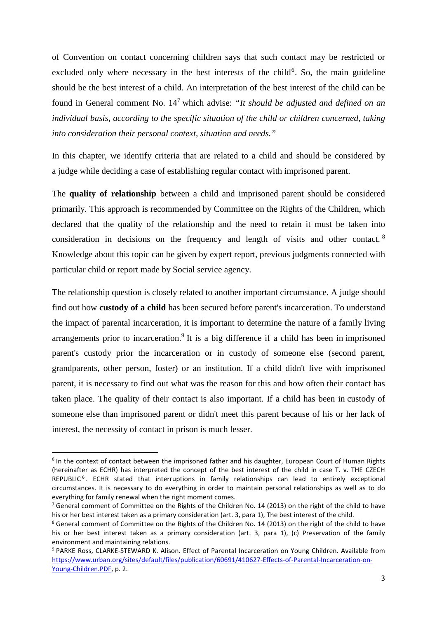of Convention on contact concerning children says that such contact may be restricted or excluded only where necessary in the best interests of the child<sup>6</sup>. So, the main guideline should be the best interest of a child. An interpretation of the best interest of the child can be found in General comment No. 14<sup>7</sup> which advise: "It should be adjusted and defined on an *individual basis, according to the specific situation of the child or children concerned, taking into consideration their personal context, situation and needs."*

In this chapter, we identify criteria that are related to a child and should be considered by a judge while deciding a case of establishing regular contact with imprisoned parent.

The **quality of relationship** between a child and imprisoned parent should be considered primarily. This approach is recommended by Committee on the Rights of the Children, which declared that the quality of the relationship and the need to retain it must be taken into consideration in decisions on the frequency and length of visits and other contact. <sup>8</sup> Knowledge about this topic can be given by expert report, previous judgments connected with particular child or report made by Social service agency.

The relationship question is closely related to another important circumstance. A judge should find out how **custody of a child** has been secured before parent's incarceration. To understand the impact of parental incarceration, it is important to determine the nature of a family living arrangements prior to incarceration.<sup>9</sup> It is a big difference if a child has been in imprisoned parent's custody prior the incarceration or in custody of someone else (second parent, grandparents, other person, foster) or an institution. If a child didn't live with imprisoned parent, it is necessary to find out what was the reason for this and how often their contact has taken place. The quality of their contact is also important. If a child has been in custody of someone else than imprisoned parent or didn't meet this parent because of his or her lack of interest, the necessity of contact in prison is much lesser.

<sup>&</sup>lt;sup>6</sup> In the context of contact between the imprisoned father and his daughter, European Court of Human Rights (hereinafter as ECHR) has interpreted the concept of the best interest of the child in case T. v. THE CZECH REPUBLIC<sup>6</sup>. ECHR stated that interruptions in family relationships can lead to entirely exceptional circumstances. It is necessary to do everything in order to maintain personal relationships as well as to do everything for family renewal when the right moment comes.

<sup>&</sup>lt;sup>7</sup> General comment of Committee on the Rights of the Children No. 14 (2013) on the right of the child to have his or her best interest taken as a primary consideration (art. 3, para 1), The best interest of the child.

<sup>&</sup>lt;sup>8</sup> General comment of Committee on the Rights of the Children No. 14 (2013) on the right of the child to have his or her best interest taken as a primary consideration (art. 3, para 1), (c) Preservation of the family environment and maintaining relations.

<sup>&</sup>lt;sup>9</sup> PARKE Ross, CLARKE-STEWARD K. Alison. Effect of Parental Incarceration on Young Children. Available from https://www.urban.org/sites/default/files/publication/60691/410627-Effects-of-Parental-Incarceration-on-Young-Children.PDF, p. 2.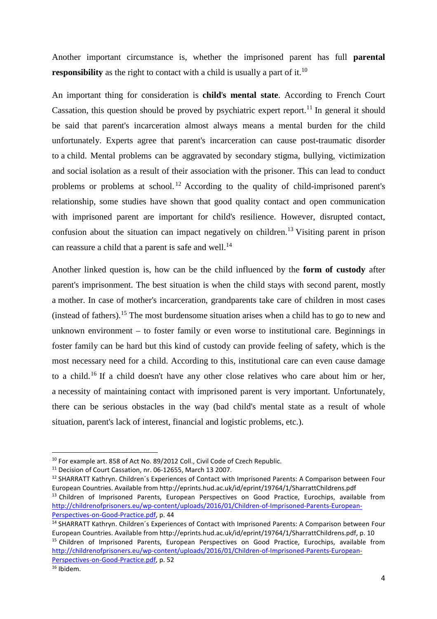Another important circumstance is, whether the imprisoned parent has full **parental responsibility** as the right to contact with a child is usually a part of it.<sup>10</sup>

An important thing for consideration is **child**'**s mental state**. According to French Court Cassation, this question should be proved by psychiatric expert report.<sup>11</sup> In general it should be said that parent's incarceration almost always means a mental burden for the child unfortunately. Experts agree that parent's incarceration can cause post-traumatic disorder to a child. Mental problems can be aggravated by secondary stigma, bullying, victimization and social isolation as a result of their association with the prisoner. This can lead to conduct problems or problems at school.<sup>12</sup> According to the quality of child-imprisoned parent's relationship, some studies have shown that good quality contact and open communication with imprisoned parent are important for child's resilience. However, disrupted contact, confusion about the situation can impact negatively on children.<sup>13</sup> Visiting parent in prison can reassure a child that a parent is safe and well.<sup>14</sup>

Another linked question is, how can be the child influenced by the **form of custody** after parent's imprisonment. The best situation is when the child stays with second parent, mostly a mother. In case of mother's incarceration, grandparents take care of children in most cases (instead of fathers).<sup>15</sup> The most burdensome situation arises when a child has to go to new and unknown environment – to foster family or even worse to institutional care. Beginnings in foster family can be hard but this kind of custody can provide feeling of safety, which is the most necessary need for a child. According to this, institutional care can even cause damage to a child.<sup>16</sup> If a child doesn't have any other close relatives who care about him or her, a necessity of maintaining contact with imprisoned parent is very important. Unfortunately, there can be serious obstacles in the way (bad child's mental state as a result of whole situation, parent's lack of interest, financial and logistic problems, etc.).

<sup>&</sup>lt;sup>10</sup> For example art. 858 of Act No. 89/2012 Coll., Civil Code of Czech Republic.

<sup>11</sup> Decision of Court Cassation, nr. 06-12655, March 13 2007.

<sup>&</sup>lt;sup>12</sup> SHARRATT Kathryn. Children's Experiences of Contact with Imprisoned Parents: A Comparison between Four European Countries. Available from http://eprints.hud.ac.uk/id/eprint/19764/1/SharrattChildrens.pdf <sup>13</sup> Children of Imprisoned Parents, European Perspectives on Good Practice, Eurochips, available from http://childrenofprisoners.eu/wp-content/uploads/2016/01/Children-of-Imprisoned-Parents-European-Perspectives-on-Good-Practice.pdf, p. 44

<sup>&</sup>lt;sup>14</sup> SHARRATT Kathryn. Children's Experiences of Contact with Imprisoned Parents: A Comparison between Four European Countries. Available from http://eprints.hud.ac.uk/id/eprint/19764/1/SharrattChildrens.pdf, p. 10 <sup>15</sup> Children of Imprisoned Parents, European Perspectives on Good Practice, Eurochips, available from http://childrenofprisoners.eu/wp-content/uploads/2016/01/Children-of-Imprisoned-Parents-European-Perspectives-on-Good-Practice.pdf, p. 52

 $16$  Ibidem.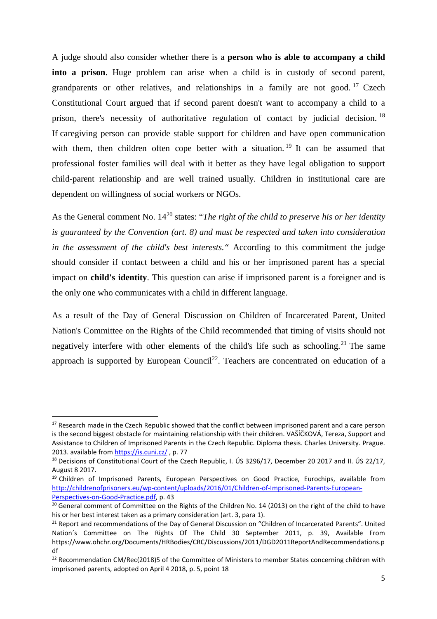A judge should also consider whether there is a **person who is able to accompany a child into a prison**. Huge problem can arise when a child is in custody of second parent, grandparents or other relatives, and relationships in a family are not good.<sup>17</sup> Czech Constitutional Court argued that if second parent doesn't want to accompany a child to a prison, there's necessity of authoritative regulation of contact by judicial decision. <sup>18</sup> If caregiving person can provide stable support for children and have open communication with them, then children often cope better with a situation.<sup>19</sup> It can be assumed that professional foster families will deal with it better as they have legal obligation to support child-parent relationship and are well trained usually. Children in institutional care are dependent on willingness of social workers or NGOs.

As the General comment No. 14<sup>20</sup> states: "*The right of the child to preserve his or her identity is guaranteed by the Convention (art. 8) and must be respected and taken into consideration in the assessment of the child's best interests."* According to this commitment the judge should consider if contact between a child and his or her imprisoned parent has a special impact on **child's identity**. This question can arise if imprisoned parent is a foreigner and is the only one who communicates with a child in different language.

As a result of the Day of General Discussion on Children of Incarcerated Parent, United Nation's Committee on the Rights of the Child recommended that timing of visits should not negatively interfere with other elements of the child's life such as schooling.<sup>21</sup> The same approach is supported by European Council<sup>22</sup>. Teachers are concentrated on education of a

<sup>&</sup>lt;sup>17</sup> Research made in the Czech Republic showed that the conflict between imprisoned parent and a care person is the second biggest obstacle for maintaining relationship with their children. VAŠÍČKOVÁ, Tereza, Support and Assistance to Children of Imprisoned Parents in the Czech Republic. Diploma thesis. Charles University. Prague. 2013. available from https://is.cuni.cz/ , p. 77

<sup>&</sup>lt;sup>18</sup> Decisions of Constitutional Court of the Czech Republic, I. ÚS 3296/17, December 20 2017 and II. ÚS 22/17, August 8 2017.

<sup>&</sup>lt;sup>19</sup> Children of Imprisoned Parents, European Perspectives on Good Practice, Eurochips, available from http://childrenofprisoners.eu/wp-content/uploads/2016/01/Children-of-Imprisoned-Parents-European-Perspectives-on-Good-Practice.pdf, p. 43

<sup>&</sup>lt;sup>20</sup> General comment of Committee on the Rights of the Children No. 14 (2013) on the right of the child to have his or her best interest taken as a primary consideration (art. 3, para 1).

<sup>&</sup>lt;sup>21</sup> Report and recommendations of the Day of General Discussion on "Children of Incarcerated Parents". United Nation´s Committee on The Rights Of The Child 30 September 2011, p. 39, Available From https://www.ohchr.org/Documents/HRBodies/CRC/Discussions/2011/DGD2011ReportAndRecommendations.p df

<sup>&</sup>lt;sup>22</sup> Recommendation CM/Rec(2018)5 of the Committee of Ministers to member States concerning children with imprisoned parents, adopted on April 4 2018, p. 5, point 18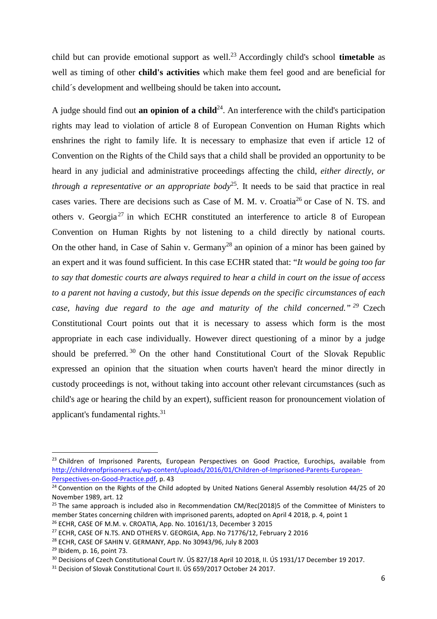child but can provide emotional support as well.<sup>23</sup> Accordingly child's school **timetable** as well as timing of other **child's activities** which make them feel good and are beneficial for child´s development and wellbeing should be taken into account**.** 

A judge should find out **an opinion of a child**<sup>24</sup>. An interference with the child's participation rights may lead to violation of article 8 of European Convention on Human Rights which enshrines the right to family life. It is necessary to emphasize that even if article 12 of Convention on the Rights of the Child says that a child shall be provided an opportunity to be heard in any judicial and administrative proceedings affecting the child, *either directly, or through a representative or an appropriate body*<sup>25</sup>. It needs to be said that practice in real cases varies. There are decisions such as Case of M. M. v. Croatia<sup>26</sup> or Case of N. TS. and others v. Georgia<sup>27</sup> in which ECHR constituted an interference to article 8 of European Convention on Human Rights by not listening to a child directly by national courts. On the other hand, in Case of Sahin v. Germany<sup>28</sup> an opinion of a minor has been gained by an expert and it was found sufficient. In this case ECHR stated that: "*It would be going too far to say that domestic courts are always required to hear a child in court on the issue of access to a parent not having a custody, but this issue depends on the specific circumstances of each case, having due regard to the age and maturity of the child concerned." <sup>29</sup>* Czech Constitutional Court points out that it is necessary to assess which form is the most appropriate in each case individually. However direct questioning of a minor by a judge should be preferred.<sup>30</sup> On the other hand Constitutional Court of the Slovak Republic expressed an opinion that the situation when courts haven't heard the minor directly in custody proceedings is not, without taking into account other relevant circumstances (such as child's age or hearing the child by an expert), sufficient reason for pronouncement violation of applicant's fundamental rights.<sup>31</sup>

<sup>&</sup>lt;sup>23</sup> Children of Imprisoned Parents, European Perspectives on Good Practice, Eurochips, available from http://childrenofprisoners.eu/wp-content/uploads/2016/01/Children-of-Imprisoned-Parents-European-Perspectives-on-Good-Practice.pdf, p. 43

<sup>&</sup>lt;sup>24</sup> Convention on the Rights of the Child adopted by United Nations General Assembly resolution 44/25 of 20 November 1989, art. 12

 $25$  The same approach is included also in Recommendation CM/Rec(2018)5 of the Committee of Ministers to member States concerning children with imprisoned parents, adopted on April 4 2018, p. 4, point 1

 $26$  ECHR, CASE OF M.M. v. CROATIA, App. No. 10161/13, December 3 2015

<sup>&</sup>lt;sup>27</sup> ECHR, CASE OF N.TS. AND OTHERS V. GEORGIA, App. No 71776/12, February 2 2016

<sup>28</sup> ECHR, CASE OF SAHIN V. GERMANY, App. No 30943/96, July 8 2003

<sup>29</sup> Ibidem, p. 16, point 73.

<sup>&</sup>lt;sup>30</sup> Decisions of Czech Constitutional Court IV. ÚS 827/18 April 10 2018, II. ÚS 1931/17 December 19 2017.

<sup>&</sup>lt;sup>31</sup> Decision of Slovak Constitutional Court II. ÚS 659/2017 October 24 2017.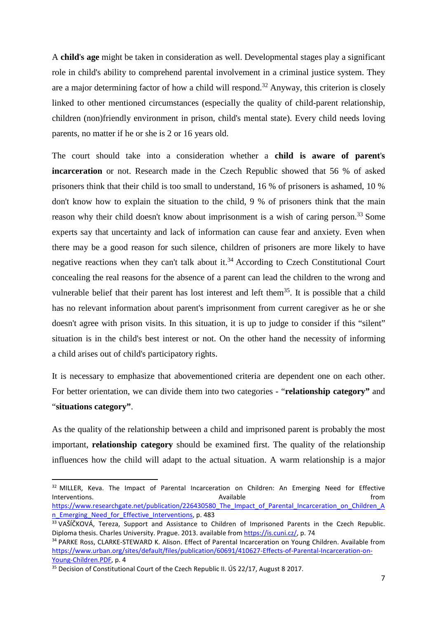A **child**'**s age** might be taken in consideration as well. Developmental stages play a significant role in child's ability to comprehend parental involvement in a criminal justice system. They are a major determining factor of how a child will respond.<sup>32</sup> Anyway, this criterion is closely linked to other mentioned circumstances (especially the quality of child-parent relationship, children (non)friendly environment in prison, child's mental state). Every child needs loving parents, no matter if he or she is 2 or 16 years old.

The court should take into a consideration whether a **child is aware of parent**'**s incarceration** or not. Research made in the Czech Republic showed that 56 % of asked prisoners think that their child is too small to understand, 16 % of prisoners is ashamed, 10 % don't know how to explain the situation to the child, 9 % of prisoners think that the main reason why their child doesn't know about imprisonment is a wish of caring person.<sup>33</sup> Some experts say that uncertainty and lack of information can cause fear and anxiety. Even when there may be a good reason for such silence, children of prisoners are more likely to have negative reactions when they can't talk about it.<sup>34</sup> According to Czech Constitutional Court concealing the real reasons for the absence of a parent can lead the children to the wrong and vulnerable belief that their parent has lost interest and left them<sup>35</sup>. It is possible that a child has no relevant information about parent's imprisonment from current caregiver as he or she doesn't agree with prison visits. In this situation, it is up to judge to consider if this "silent" situation is in the child's best interest or not. On the other hand the necessity of informing a child arises out of child's participatory rights.

It is necessary to emphasize that abovementioned criteria are dependent one on each other. For better orientation, we can divide them into two categories - "**relationship category"** and "**situations category"**.

As the quality of the relationship between a child and imprisoned parent is probably the most important, **relationship category** should be examined first. The quality of the relationship influences how the child will adapt to the actual situation. A warm relationship is a major

<sup>&</sup>lt;sup>32</sup> MILLER, Keva. The Impact of Parental Incarceration on Children: An Emerging Need for Effective Interventions. The contract of the contract of the contract of the contract of the contract of the contract of the contract of the contract of the contract of the contract of the contract of the contract of the contract of https://www.researchgate.net/publication/226430580\_The\_Impact\_of\_Parental\_Incarceration\_on\_Children\_A n Emerging Need for Effective Interventions, p. 483

<sup>33</sup> VAŠÍČKOVÁ, Tereza, Support and Assistance to Children of Imprisoned Parents in the Czech Republic. Diploma thesis. Charles University. Prague. 2013. available from https://is.cuni.cz/, p. 74

<sup>&</sup>lt;sup>34</sup> PARKE Ross, CLARKE-STEWARD K. Alison. Effect of Parental Incarceration on Young Children. Available from https://www.urban.org/sites/default/files/publication/60691/410627-Effects-of-Parental-Incarceration-on-Young-Children.PDF, p. 4

<sup>&</sup>lt;sup>35</sup> Decision of Constitutional Court of the Czech Republic II. US 22/17, August 8 2017.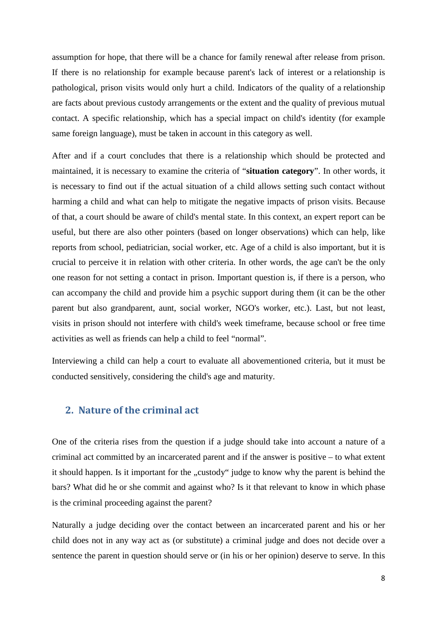assumption for hope, that there will be a chance for family renewal after release from prison. If there is no relationship for example because parent's lack of interest or a relationship is pathological, prison visits would only hurt a child. Indicators of the quality of a relationship are facts about previous custody arrangements or the extent and the quality of previous mutual contact. A specific relationship, which has a special impact on child's identity (for example same foreign language), must be taken in account in this category as well.

After and if a court concludes that there is a relationship which should be protected and maintained, it is necessary to examine the criteria of "**situation category**". In other words, it is necessary to find out if the actual situation of a child allows setting such contact without harming a child and what can help to mitigate the negative impacts of prison visits. Because of that, a court should be aware of child's mental state. In this context, an expert report can be useful, but there are also other pointers (based on longer observations) which can help, like reports from school, pediatrician, social worker, etc. Age of a child is also important, but it is crucial to perceive it in relation with other criteria. In other words, the age can't be the only one reason for not setting a contact in prison. Important question is, if there is a person, who can accompany the child and provide him a psychic support during them (it can be the other parent but also grandparent, aunt, social worker, NGO's worker, etc.). Last, but not least, visits in prison should not interfere with child's week timeframe, because school or free time activities as well as friends can help a child to feel "normal".

Interviewing a child can help a court to evaluate all abovementioned criteria, but it must be conducted sensitively, considering the child's age and maturity.

### **2. Nature of the criminal act**

One of the criteria rises from the question if a judge should take into account a nature of a criminal act committed by an incarcerated parent and if the answer is positive – to what extent it should happen. Is it important for the "custody" judge to know why the parent is behind the bars? What did he or she commit and against who? Is it that relevant to know in which phase is the criminal proceeding against the parent?

Naturally a judge deciding over the contact between an incarcerated parent and his or her child does not in any way act as (or substitute) a criminal judge and does not decide over a sentence the parent in question should serve or (in his or her opinion) deserve to serve. In this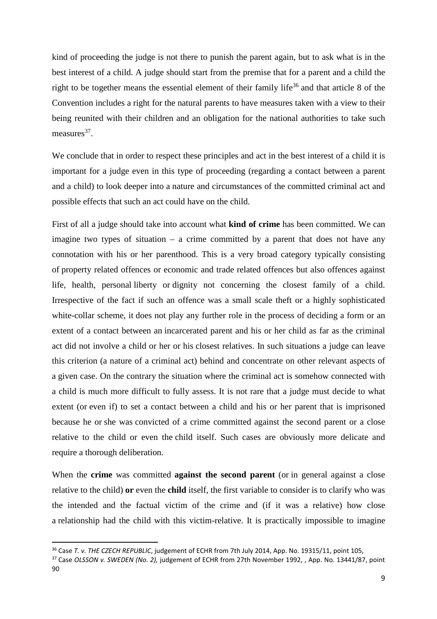kind of proceeding the judge is not there to punish the parent again, but to ask what is in the best interest of a child. A judge should start from the premise that for a parent and a child the right to be together means the essential element of their family life<sup>36</sup> and that article 8 of the Convention includes a right for the natural parents to have measures taken with a view to their being reunited with their children and an obligation for the national authorities to take such measures<sup>37</sup>.

We conclude that in order to respect these principles and act in the best interest of a child it is important for a judge even in this type of proceeding (regarding a contact between a parent and a child) to look deeper into a nature and circumstances of the committed criminal act and possible effects that such an act could have on the child.

First of all a judge should take into account what **kind of crime** has been committed. We can imagine two types of situation  $-$  a crime committed by a parent that does not have any connotation with his or her parenthood. This is a very broad category typically consisting of property related offences or economic and trade related offences but also offences against life, health, personal liberty or dignity not concerning the closest family of a child. Irrespective of the fact if such an offence was a small scale theft or a highly sophisticated white-collar scheme, it does not play any further role in the process of deciding a form or an extent of a contact between an incarcerated parent and his or her child as far as the criminal act did not involve a child or her or his closest relatives. In such situations a judge can leave this criterion (a nature of a criminal act) behind and concentrate on other relevant aspects of a given case. On the contrary the situation where the criminal act is somehow connected with a child is much more difficult to fully assess. It is not rare that a judge must decide to what extent (or even if) to set a contact between a child and his or her parent that is imprisoned because he or she was convicted of a crime committed against the second parent or a close relative to the child or even the child itself. Such cases are obviously more delicate and require a thorough deliberation.

When the **crime** was committed **against the second parent** (or in general against a close relative to the child) **or** even the **child** itself, the first variable to consider is to clarify who was the intended and the factual victim of the crime and (if it was a relative) how close a relationship had the child with this victim-relative. It is practically impossible to imagine

<sup>36</sup> Case *T. v. THE CZECH REPUBLIC*, judgement of ECHR from 7th July 2014, App. No. 19315/11, point 105,

<sup>37</sup> Case *OLSSON v. SWEDEN (No. 2),* judgement of ECHR from 27th November 1992, , App. No. 13441/87, point 90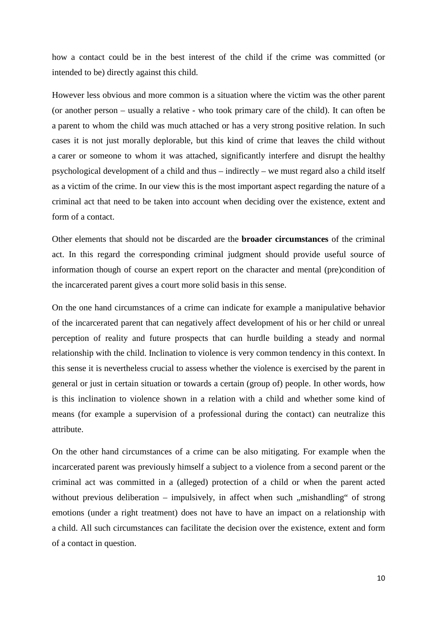how a contact could be in the best interest of the child if the crime was committed (or intended to be) directly against this child.

However less obvious and more common is a situation where the victim was the other parent (or another person – usually a relative - who took primary care of the child). It can often be a parent to whom the child was much attached or has a very strong positive relation. In such cases it is not just morally deplorable, but this kind of crime that leaves the child without a carer or someone to whom it was attached, significantly interfere and disrupt the healthy psychological development of a child and thus – indirectly – we must regard also a child itself as a victim of the crime. In our view this is the most important aspect regarding the nature of a criminal act that need to be taken into account when deciding over the existence, extent and form of a contact.

Other elements that should not be discarded are the **broader circumstances** of the criminal act. In this regard the corresponding criminal judgment should provide useful source of information though of course an expert report on the character and mental (pre)condition of the incarcerated parent gives a court more solid basis in this sense.

On the one hand circumstances of a crime can indicate for example a manipulative behavior of the incarcerated parent that can negatively affect development of his or her child or unreal perception of reality and future prospects that can hurdle building a steady and normal relationship with the child. Inclination to violence is very common tendency in this context. In this sense it is nevertheless crucial to assess whether the violence is exercised by the parent in general or just in certain situation or towards a certain (group of) people. In other words, how is this inclination to violence shown in a relation with a child and whether some kind of means (for example a supervision of a professional during the contact) can neutralize this attribute.

On the other hand circumstances of a crime can be also mitigating. For example when the incarcerated parent was previously himself a subject to a violence from a second parent or the criminal act was committed in a (alleged) protection of a child or when the parent acted without previous deliberation – impulsively, in affect when such  $\mu$  mishandling" of strong emotions (under a right treatment) does not have to have an impact on a relationship with a child. All such circumstances can facilitate the decision over the existence, extent and form of a contact in question.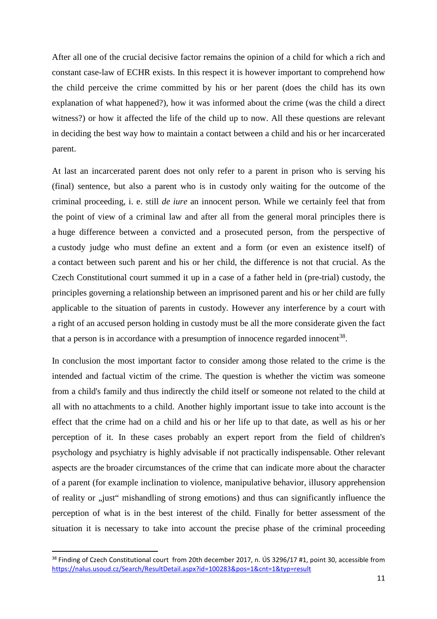After all one of the crucial decisive factor remains the opinion of a child for which a rich and constant case-law of ECHR exists. In this respect it is however important to comprehend how the child perceive the crime committed by his or her parent (does the child has its own explanation of what happened?), how it was informed about the crime (was the child a direct witness?) or how it affected the life of the child up to now. All these questions are relevant in deciding the best way how to maintain a contact between a child and his or her incarcerated parent.

At last an incarcerated parent does not only refer to a parent in prison who is serving his (final) sentence, but also a parent who is in custody only waiting for the outcome of the criminal proceeding, i. e. still *de iure* an innocent person. While we certainly feel that from the point of view of a criminal law and after all from the general moral principles there is a huge difference between a convicted and a prosecuted person, from the perspective of a custody judge who must define an extent and a form (or even an existence itself) of a contact between such parent and his or her child, the difference is not that crucial. As the Czech Constitutional court summed it up in a case of a father held in (pre-trial) custody, the principles governing a relationship between an imprisoned parent and his or her child are fully applicable to the situation of parents in custody. However any interference by a court with a right of an accused person holding in custody must be all the more considerate given the fact that a person is in accordance with a presumption of innocence regarded innocent<sup>38</sup>.

In conclusion the most important factor to consider among those related to the crime is the intended and factual victim of the crime. The question is whether the victim was someone from a child's family and thus indirectly the child itself or someone not related to the child at all with no attachments to a child. Another highly important issue to take into account is the effect that the crime had on a child and his or her life up to that date, as well as his or her perception of it. In these cases probably an expert report from the field of children's psychology and psychiatry is highly advisable if not practically indispensable. Other relevant aspects are the broader circumstances of the crime that can indicate more about the character of a parent (for example inclination to violence, manipulative behavior, illusory apprehension of reality or "just" mishandling of strong emotions) and thus can significantly influence the perception of what is in the best interest of the child. Finally for better assessment of the situation it is necessary to take into account the precise phase of the criminal proceeding

l

<sup>&</sup>lt;sup>38</sup> Finding of Czech Constitutional court from 20th december 2017, n. ÚS 3296/17 #1, point 30, accessible from https://nalus.usoud.cz/Search/ResultDetail.aspx?id=100283&pos=1&cnt=1&typ=result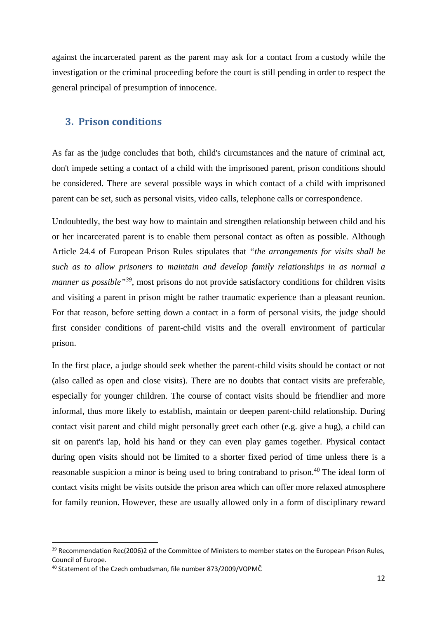against the incarcerated parent as the parent may ask for a contact from a custody while the investigation or the criminal proceeding before the court is still pending in order to respect the general principal of presumption of innocence.

#### **3. Prison conditions**

As far as the judge concludes that both, child's circumstances and the nature of criminal act, don't impede setting a contact of a child with the imprisoned parent, prison conditions should be considered. There are several possible ways in which contact of a child with imprisoned parent can be set, such as personal visits, video calls, telephone calls or correspondence.

Undoubtedly, the best way how to maintain and strengthen relationship between child and his or her incarcerated parent is to enable them personal contact as often as possible. Although Article 24.4 of European Prison Rules stipulates that *"the arrangements for visits shall be such as to allow prisoners to maintain and develop family relationships in as normal a manner as possible*<sup>39</sup>, most prisons do not provide satisfactory conditions for children visits and visiting a parent in prison might be rather traumatic experience than a pleasant reunion. For that reason, before setting down a contact in a form of personal visits, the judge should first consider conditions of parent-child visits and the overall environment of particular prison.

In the first place, a judge should seek whether the parent-child visits should be contact or not (also called as open and close visits). There are no doubts that contact visits are preferable, especially for younger children. The course of contact visits should be friendlier and more informal, thus more likely to establish, maintain or deepen parent-child relationship. During contact visit parent and child might personally greet each other (e.g. give a hug), a child can sit on parent's lap, hold his hand or they can even play games together. Physical contact during open visits should not be limited to a shorter fixed period of time unless there is a reasonable suspicion a minor is being used to bring contraband to prison.<sup>40</sup> The ideal form of contact visits might be visits outside the prison area which can offer more relaxed atmosphere for family reunion. However, these are usually allowed only in a form of disciplinary reward

<sup>&</sup>lt;sup>39</sup> Recommendation Rec(2006)2 of the Committee of Ministers to member states on the European Prison Rules, Council of Europe.

<sup>40</sup> Statement of the Czech ombudsman, file number 873/2009/VOPMČ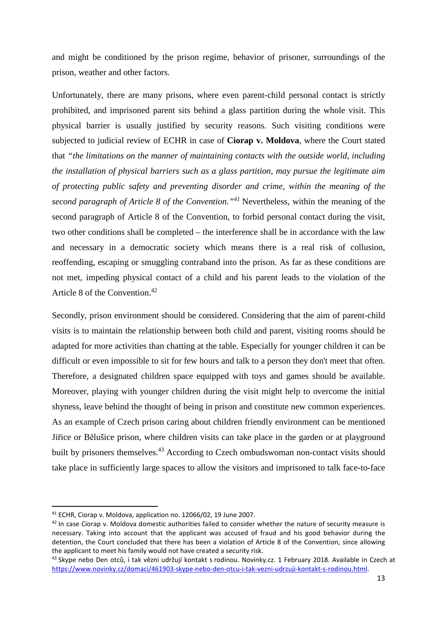and might be conditioned by the prison regime, behavior of prisoner, surroundings of the prison, weather and other factors.

Unfortunately, there are many prisons, where even parent-child personal contact is strictly prohibited, and imprisoned parent sits behind a glass partition during the whole visit. This physical barrier is usually justified by security reasons. Such visiting conditions were subjected to judicial review of ECHR in case of **Ciorap v. Moldova**, where the Court stated that *"the limitations on the manner of maintaining contacts with the outside world, including the installation of physical barriers such as a glass partition, may pursue the legitimate aim of protecting public safety and preventing disorder and crime, within the meaning of the second paragraph of Article 8 of the Convention."<sup>41</sup>* Nevertheless, within the meaning of the second paragraph of Article 8 of the Convention, to forbid personal contact during the visit, two other conditions shall be completed – the interference shall be in accordance with the law and necessary in a democratic society which means there is a real risk of collusion, reoffending, escaping or smuggling contraband into the prison. As far as these conditions are not met, impeding physical contact of a child and his parent leads to the violation of the Article 8 of the Convention.<sup>42</sup>

Secondly, prison environment should be considered. Considering that the aim of parent-child visits is to maintain the relationship between both child and parent, visiting rooms should be adapted for more activities than chatting at the table. Especially for younger children it can be difficult or even impossible to sit for few hours and talk to a person they don't meet that often. Therefore, a designated children space equipped with toys and games should be available. Moreover, playing with younger children during the visit might help to overcome the initial shyness, leave behind the thought of being in prison and constitute new common experiences. As an example of Czech prison caring about children friendly environment can be mentioned Jiřice or Bělušice prison, where children visits can take place in the garden or at playground built by prisoners themselves.<sup>43</sup> According to Czech ombudswoman non-contact visits should take place in sufficiently large spaces to allow the visitors and imprisoned to talk face-to-face

l

<sup>41</sup> ECHR, Ciorap v. Moldova, application no. 12066/02, 19 June 2007.

<sup>&</sup>lt;sup>42</sup> In case Ciorap v. Moldova domestic authorities failed to consider whether the nature of security measure is necessary. Taking into account that the applicant was accused of fraud and his good behavior during the detention, the Court concluded that there has been a violation of Article 8 of the Convention, since allowing the applicant to meet his family would not have created a security risk.

<sup>&</sup>lt;sup>43</sup> Skype nebo Den otců, i tak vězni udržují kontakt s rodinou. Novinky.cz. 1 February 2018. Available in Czech at https://www.novinky.cz/domaci/461903-skype-nebo-den-otcu-i-tak-vezni-udrzuji-kontakt-s-rodinou.html.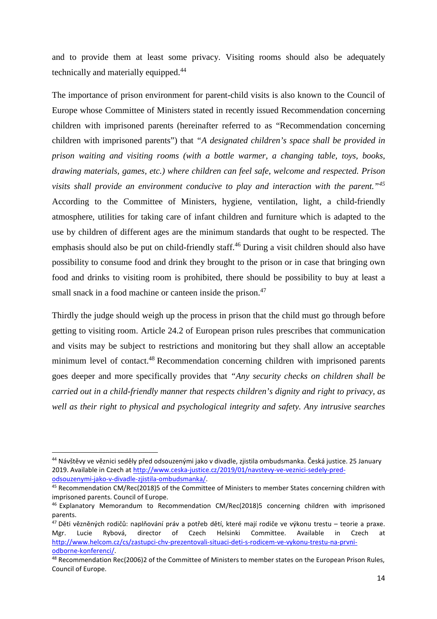and to provide them at least some privacy. Visiting rooms should also be adequately technically and materially equipped.<sup>44</sup>

The importance of prison environment for parent-child visits is also known to the Council of Europe whose Committee of Ministers stated in recently issued Recommendation concerning children with imprisoned parents (hereinafter referred to as "Recommendation concerning children with imprisoned parents") that *"A designated children's space shall be provided in prison waiting and visiting rooms (with a bottle warmer, a changing table, toys, books, drawing materials, games, etc.) where children can feel safe, welcome and respected. Prison visits shall provide an environment conducive to play and interaction with the parent."<sup>45</sup>* According to the Committee of Ministers, hygiene, ventilation, light, a child-friendly atmosphere, utilities for taking care of infant children and furniture which is adapted to the use by children of different ages are the minimum standards that ought to be respected. The emphasis should also be put on child-friendly staff.<sup>46</sup> During a visit children should also have possibility to consume food and drink they brought to the prison or in case that bringing own food and drinks to visiting room is prohibited, there should be possibility to buy at least a small snack in a food machine or canteen inside the prison.<sup>47</sup>

Thirdly the judge should weigh up the process in prison that the child must go through before getting to visiting room. Article 24.2 of European prison rules prescribes that communication and visits may be subject to restrictions and monitoring but they shall allow an acceptable minimum level of contact.<sup>48</sup> Recommendation concerning children with imprisoned parents goes deeper and more specifically provides that *"Any security checks on children shall be carried out in a child-friendly manner that respects children's dignity and right to privacy, as well as their right to physical and psychological integrity and safety. Any intrusive searches* 

<sup>44</sup> Návštěvy ve věznici seděly před odsouzenými jako v divadle, zjistila ombudsmanka. Česká justice. 25 January 2019. Available in Czech at http://www.ceska-justice.cz/2019/01/navstevy-ve-veznici-sedely-predodsouzenymi-jako-v-divadle-zjistila-ombudsmanka/.

<sup>45</sup> Recommendation CM/Rec(2018)5 of the Committee of Ministers to member States concerning children with imprisoned parents. Council of Europe.

 $46$  Explanatory Memorandum to Recommendation CM/Rec(2018)5 concerning children with imprisoned parents.

<sup>&</sup>lt;sup>47</sup> Děti vězněných rodičů: naplňování práv a potřeb dětí, které mají rodiče ve výkonu trestu – teorie a praxe. Mgr. Lucie Rybová, director of Czech Helsinki Committee. Available in Czech at http://www.helcom.cz/cs/zastupci-chv-prezentovali-situaci-deti-s-rodicem-ve-vykonu-trestu-na-prvniodborne-konferenci/.

<sup>48</sup> Recommendation Rec(2006)2 of the Committee of Ministers to member states on the European Prison Rules, Council of Europe.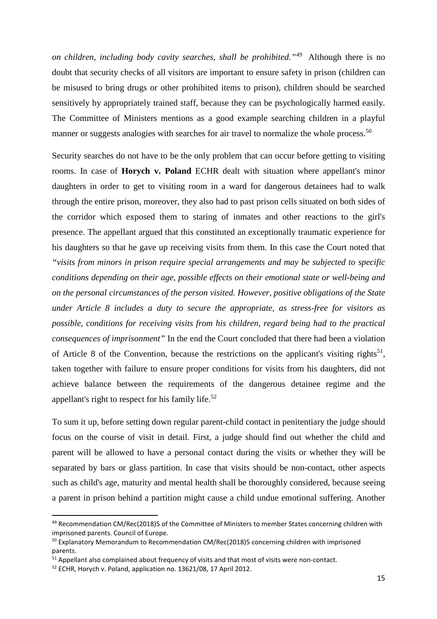*on children, including body cavity searches, shall be prohibited."<sup>49</sup>* Although there is no doubt that security checks of all visitors are important to ensure safety in prison (children can be misused to bring drugs or other prohibited items to prison), children should be searched sensitively by appropriately trained staff, because they can be psychologically harmed easily. The Committee of Ministers mentions as a good example searching children in a playful manner or suggests analogies with searches for air travel to normalize the whole process.<sup>50</sup>

Security searches do not have to be the only problem that can occur before getting to visiting rooms. In case of **Horych v. Poland** ECHR dealt with situation where appellant's minor daughters in order to get to visiting room in a ward for dangerous detainees had to walk through the entire prison, moreover, they also had to past prison cells situated on both sides of the corridor which exposed them to staring of inmates and other reactions to the girl's presence. The appellant argued that this constituted an exceptionally traumatic experience for his daughters so that he gave up receiving visits from them. In this case the Court noted that *"visits from minors in prison require special arrangements and may be subjected to specific conditions depending on their age, possible effects on their emotional state or well-being and on the personal circumstances of the person visited. However, positive obligations of the State under Article 8 includes a duty to secure the appropriate, as stress-free for visitors as possible, conditions for receiving visits from his children, regard being had to the practical consequences of imprisonment"* In the end the Court concluded that there had been a violation of Article 8 of the Convention, because the restrictions on the applicant's visiting rights<sup>51</sup>, taken together with failure to ensure proper conditions for visits from his daughters, did not achieve balance between the requirements of the dangerous detainee regime and the appellant's right to respect for his family life. $52$ 

To sum it up, before setting down regular parent-child contact in penitentiary the judge should focus on the course of visit in detail. First, a judge should find out whether the child and parent will be allowed to have a personal contact during the visits or whether they will be separated by bars or glass partition. In case that visits should be non-contact, other aspects such as child's age, maturity and mental health shall be thoroughly considered, because seeing a parent in prison behind a partition might cause a child undue emotional suffering. Another

<sup>49</sup> Recommendation CM/Rec(2018)5 of the Committee of Ministers to member States concerning children with imprisoned parents. Council of Europe.

<sup>&</sup>lt;sup>50</sup> Explanatory Memorandum to Recommendation CM/Rec(2018)5 concerning children with imprisoned parents.

<sup>&</sup>lt;sup>51</sup> Appellant also complained about frequency of visits and that most of visits were non-contact.

<sup>52</sup> ECHR, Horych v. Poland, application no. 13621/08, 17 April 2012.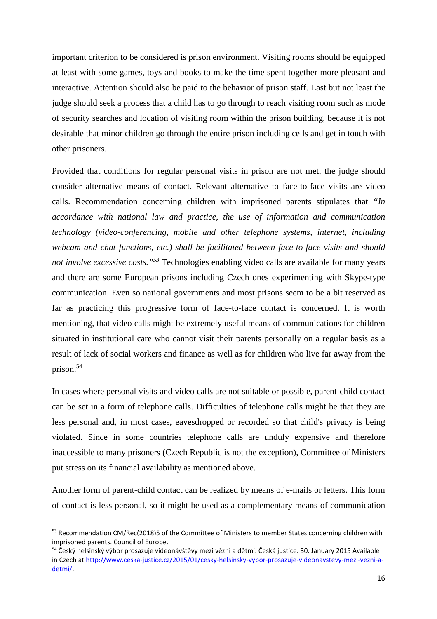important criterion to be considered is prison environment. Visiting rooms should be equipped at least with some games, toys and books to make the time spent together more pleasant and interactive. Attention should also be paid to the behavior of prison staff. Last but not least the judge should seek a process that a child has to go through to reach visiting room such as mode of security searches and location of visiting room within the prison building, because it is not desirable that minor children go through the entire prison including cells and get in touch with other prisoners.

Provided that conditions for regular personal visits in prison are not met, the judge should consider alternative means of contact. Relevant alternative to face-to-face visits are video calls. Recommendation concerning children with imprisoned parents stipulates that *"In accordance with national law and practice, the use of information and communication technology (video-conferencing, mobile and other telephone systems, internet, including webcam and chat functions, etc.) shall be facilitated between face-to-face visits and should not involve excessive costs."<sup>53</sup>* Technologies enabling video calls are available for many years and there are some European prisons including Czech ones experimenting with Skype-type communication. Even so national governments and most prisons seem to be a bit reserved as far as practicing this progressive form of face-to-face contact is concerned. It is worth mentioning, that video calls might be extremely useful means of communications for children situated in institutional care who cannot visit their parents personally on a regular basis as a result of lack of social workers and finance as well as for children who live far away from the prison.<sup>54</sup>

In cases where personal visits and video calls are not suitable or possible, parent-child contact can be set in a form of telephone calls. Difficulties of telephone calls might be that they are less personal and, in most cases, eavesdropped or recorded so that child's privacy is being violated. Since in some countries telephone calls are unduly expensive and therefore inaccessible to many prisoners (Czech Republic is not the exception), Committee of Ministers put stress on its financial availability as mentioned above.

Another form of parent-child contact can be realized by means of e-mails or letters. This form of contact is less personal, so it might be used as a complementary means of communication

l

<sup>53</sup> Recommendation CM/Rec(2018)5 of the Committee of Ministers to member States concerning children with imprisoned parents. Council of Europe.

<sup>&</sup>lt;sup>54</sup> Český helsinský výbor prosazuje videonávštěvy mezi vězni a dětmi. Česká justice. 30. January 2015 Available in Czech at http://www.ceska-justice.cz/2015/01/cesky-helsinsky-vybor-prosazuje-videonavstevy-mezi-vezni-adetmi/.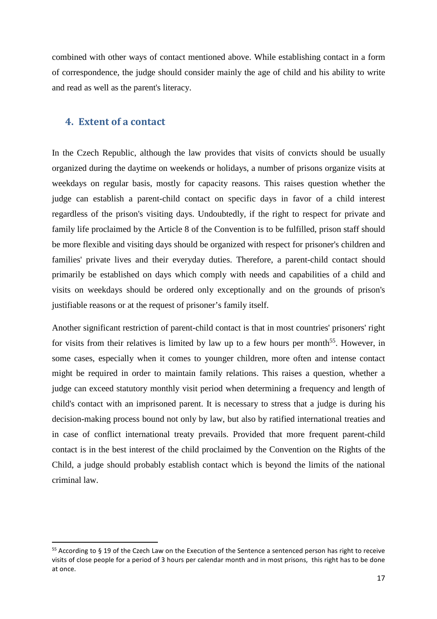combined with other ways of contact mentioned above. While establishing contact in a form of correspondence, the judge should consider mainly the age of child and his ability to write and read as well as the parent's literacy.

#### **4. Extent of a contact**

In the Czech Republic, although the law provides that visits of convicts should be usually organized during the daytime on weekends or holidays, a number of prisons organize visits at weekdays on regular basis, mostly for capacity reasons. This raises question whether the judge can establish a parent-child contact on specific days in favor of a child interest regardless of the prison's visiting days. Undoubtedly, if the right to respect for private and family life proclaimed by the Article 8 of the Convention is to be fulfilled, prison staff should be more flexible and visiting days should be organized with respect for prisoner's children and families' private lives and their everyday duties. Therefore, a parent-child contact should primarily be established on days which comply with needs and capabilities of a child and visits on weekdays should be ordered only exceptionally and on the grounds of prison's justifiable reasons or at the request of prisoner's family itself.

Another significant restriction of parent-child contact is that in most countries' prisoners' right for visits from their relatives is limited by law up to a few hours per month<sup>55</sup>. However, in some cases, especially when it comes to younger children, more often and intense contact might be required in order to maintain family relations. This raises a question, whether a judge can exceed statutory monthly visit period when determining a frequency and length of child's contact with an imprisoned parent. It is necessary to stress that a judge is during his decision-making process bound not only by law, but also by ratified international treaties and in case of conflict international treaty prevails. Provided that more frequent parent-child contact is in the best interest of the child proclaimed by the Convention on the Rights of the Child, a judge should probably establish contact which is beyond the limits of the national criminal law.

<sup>&</sup>lt;sup>55</sup> According to § 19 of the Czech Law on the Execution of the Sentence a sentenced person has right to receive visits of close people for a period of 3 hours per calendar month and in most prisons, this right has to be done at once.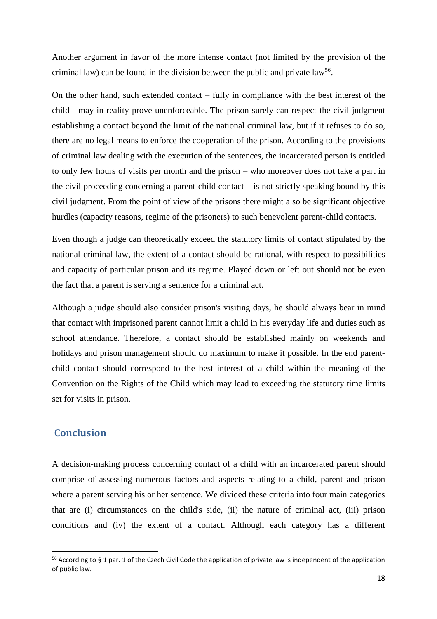Another argument in favor of the more intense contact (not limited by the provision of the criminal law) can be found in the division between the public and private  $law^{56}$ .

On the other hand, such extended contact – fully in compliance with the best interest of the child - may in reality prove unenforceable. The prison surely can respect the civil judgment establishing a contact beyond the limit of the national criminal law, but if it refuses to do so, there are no legal means to enforce the cooperation of the prison. According to the provisions of criminal law dealing with the execution of the sentences, the incarcerated person is entitled to only few hours of visits per month and the prison – who moreover does not take a part in the civil proceeding concerning a parent-child contact – is not strictly speaking bound by this civil judgment. From the point of view of the prisons there might also be significant objective hurdles (capacity reasons, regime of the prisoners) to such benevolent parent-child contacts.

Even though a judge can theoretically exceed the statutory limits of contact stipulated by the national criminal law, the extent of a contact should be rational, with respect to possibilities and capacity of particular prison and its regime. Played down or left out should not be even the fact that a parent is serving a sentence for a criminal act.

Although a judge should also consider prison's visiting days, he should always bear in mind that contact with imprisoned parent cannot limit a child in his everyday life and duties such as school attendance. Therefore, a contact should be established mainly on weekends and holidays and prison management should do maximum to make it possible. In the end parentchild contact should correspond to the best interest of a child within the meaning of the Convention on the Rights of the Child which may lead to exceeding the statutory time limits set for visits in prison.

## **Conclusion**

l

A decision-making process concerning contact of a child with an incarcerated parent should comprise of assessing numerous factors and aspects relating to a child, parent and prison where a parent serving his or her sentence. We divided these criteria into four main categories that are (i) circumstances on the child's side, (ii) the nature of criminal act, (iii) prison conditions and (iv) the extent of a contact. Although each category has a different

 $56$  According to § 1 par. 1 of the Czech Civil Code the application of private law is independent of the application of public law.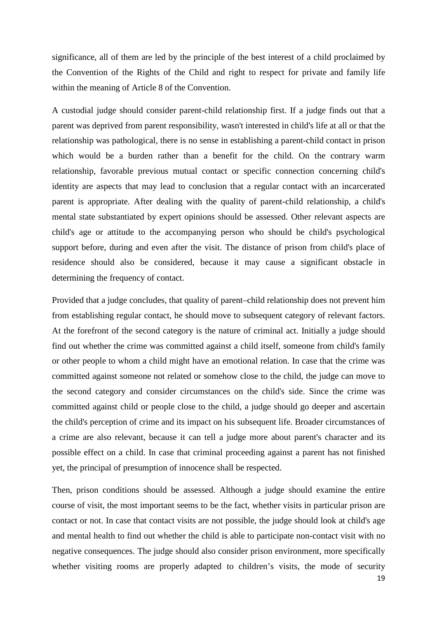significance, all of them are led by the principle of the best interest of a child proclaimed by the Convention of the Rights of the Child and right to respect for private and family life within the meaning of Article 8 of the Convention.

A custodial judge should consider parent-child relationship first. If a judge finds out that a parent was deprived from parent responsibility, wasn't interested in child's life at all or that the relationship was pathological, there is no sense in establishing a parent-child contact in prison which would be a burden rather than a benefit for the child. On the contrary warm relationship, favorable previous mutual contact or specific connection concerning child's identity are aspects that may lead to conclusion that a regular contact with an incarcerated parent is appropriate. After dealing with the quality of parent-child relationship, a child's mental state substantiated by expert opinions should be assessed. Other relevant aspects are child's age or attitude to the accompanying person who should be child's psychological support before, during and even after the visit. The distance of prison from child's place of residence should also be considered, because it may cause a significant obstacle in determining the frequency of contact.

Provided that a judge concludes, that quality of parent–child relationship does not prevent him from establishing regular contact, he should move to subsequent category of relevant factors. At the forefront of the second category is the nature of criminal act. Initially a judge should find out whether the crime was committed against a child itself, someone from child's family or other people to whom a child might have an emotional relation. In case that the crime was committed against someone not related or somehow close to the child, the judge can move to the second category and consider circumstances on the child's side. Since the crime was committed against child or people close to the child, a judge should go deeper and ascertain the child's perception of crime and its impact on his subsequent life. Broader circumstances of a crime are also relevant, because it can tell a judge more about parent's character and its possible effect on a child. In case that criminal proceeding against a parent has not finished yet, the principal of presumption of innocence shall be respected.

Then, prison conditions should be assessed. Although a judge should examine the entire course of visit, the most important seems to be the fact, whether visits in particular prison are contact or not. In case that contact visits are not possible, the judge should look at child's age and mental health to find out whether the child is able to participate non-contact visit with no negative consequences. The judge should also consider prison environment, more specifically whether visiting rooms are properly adapted to children's visits, the mode of security